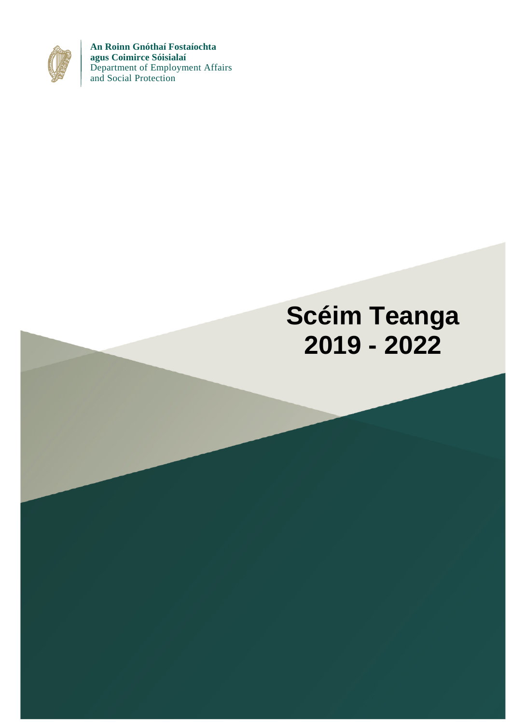

**An Roinn Gnóthaí Fostaíochta agus Coimirce Sóisialaí** Department of Employment Affairs and Social Protection

# **Scéim Teanga 2019 - 2022**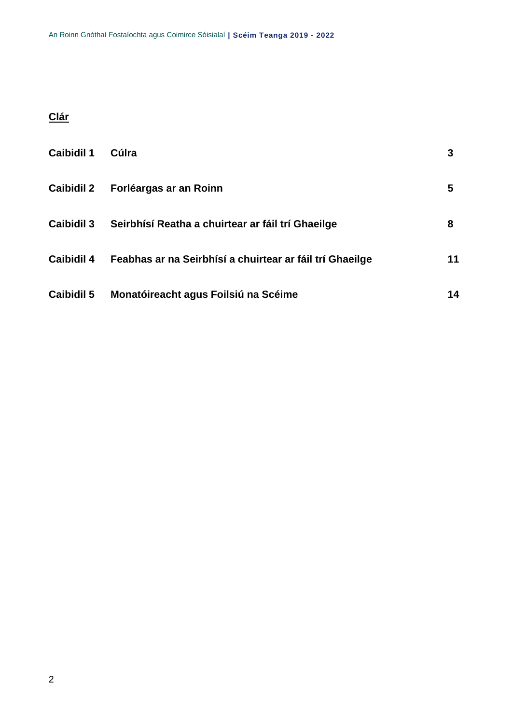# **Clár**

| <b>Caibidil 1</b> | Cúlra                                                    | 3  |
|-------------------|----------------------------------------------------------|----|
| <b>Caibidil 2</b> | Forléargas ar an Roinn                                   | 5  |
| <b>Caibidil 3</b> | Seirbhísí Reatha a chuirtear ar fáil trí Ghaeilge        | 8  |
| <b>Caibidil 4</b> | Feabhas ar na Seirbhísí a chuirtear ar fáil trí Ghaeilge | 11 |
| <b>Caibidil 5</b> | Monatóireacht agus Foilsiú na Scéime                     | 14 |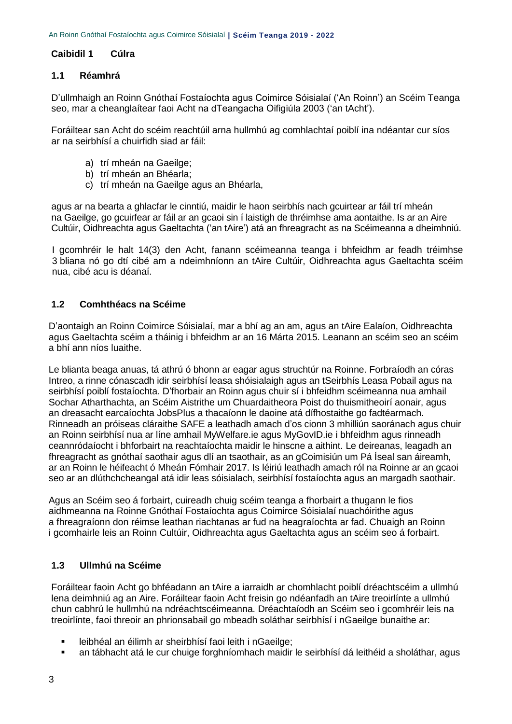#### <span id="page-2-0"></span>**Caibidil 1 Cúlra**

#### **1.1 Réamhrá**

D'ullmhaigh an Roinn Gnóthaí Fostaíochta agus Coimirce Sóisialaí ('An Roinn') an Scéim Teanga seo, mar a cheanglaítear faoi Acht na dTeangacha Oifigiúla 2003 ('an tAcht').

Foráiltear san Acht do scéim reachtúil arna hullmhú ag comhlachtaí poiblí ina ndéantar cur síos ar na seirbhísí a chuirfidh siad ar fáil:

- a) trí mheán na Gaeilge;
- b) trí mheán an Bhéarla;
- c) trí mheán na Gaeilge agus an Bhéarla,

agus ar na bearta a ghlacfar le cinntiú, maidir le haon seirbhís nach gcuirtear ar fáil trí mheán na Gaeilge, go gcuirfear ar fáil ar an gcaoi sin í laistigh de thréimhse ama aontaithe. Is ar an Aire Cultúir, Oidhreachta agus Gaeltachta ('an tAire') atá an fhreagracht as na Scéimeanna a dheimhniú.

I gcomhréir le halt 14(3) den Acht, fanann scéimeanna teanga i bhfeidhm ar feadh tréimhse 3 bliana nó go dtí cibé am a ndeimhníonn an tAire Cultúir, Oidhreachta agus Gaeltachta scéim nua, cibé acu is déanaí.

#### **1.2 Comhthéacs na Scéime**

D'aontaigh an Roinn Coimirce Sóisialaí, mar a bhí ag an am, agus an tAire Ealaíon, Oidhreachta agus Gaeltachta scéim a tháinig i bhfeidhm ar an 16 Márta 2015. Leanann an scéim seo an scéim a bhí ann níos luaithe.

Le blianta beaga anuas, tá athrú ó bhonn ar eagar agus struchtúr na Roinne. Forbraíodh an córas Intreo, a rinne cónascadh idir seirbhísí leasa shóisialaigh agus an tSeirbhís Leasa Pobail agus na seirbhísí poiblí fostaíochta. D'fhorbair an Roinn agus chuir sí i bhfeidhm scéimeanna nua amhail Sochar Atharthachta, an Scéim Aistrithe um Chuardaitheora Poist do thuismitheoirí aonair, agus an dreasacht earcaíochta JobsPlus a thacaíonn le daoine atá dífhostaithe go fadtéarmach. Rinneadh an próiseas cláraithe SAFE a leathadh amach d'os cionn 3 mhilliún saoránach agus chuir an Roinn seirbhísí nua ar líne amhail MyWelfare.ie agus MyGovID.ie i bhfeidhm agus rinneadh ceannródaíocht i bhforbairt na reachtaíochta maidir le hinscne a aithint. Le deireanas, leagadh an fhreagracht as gnóthaí saothair agus dlí an tsaothair, as an gCoimisiún um Pá Íseal san áireamh, ar an Roinn le héifeacht ó Mheán Fómhair 2017. Is léiriú leathadh amach ról na Roinne ar an gcaoi seo ar an dlúthchcheangal atá idir leas sóisialach, seirbhísí fostaíochta agus an margadh saothair.

Agus an Scéim seo á forbairt, cuireadh chuig scéim teanga a fhorbairt a thugann le fios aidhmeanna na Roinne Gnóthaí Fostaíochta agus Coimirce Sóisialaí nuachóirithe agus a fhreagraíonn don réimse leathan riachtanas ar fud na heagraíochta ar fad. Chuaigh an Roinn i gcomhairle leis an Roinn Cultúir, Oidhreachta agus Gaeltachta agus an scéim seo á forbairt.

#### **1.3 Ullmhú na Scéime**

Foráiltear faoin Acht go bhféadann an tAire a iarraidh ar chomhlacht poiblí dréachtscéim a ullmhú lena deimhniú ag an Aire. Foráiltear faoin Acht freisin go ndéanfadh an tAire treoirlínte a ullmhú chun cabhrú le hullmhú na ndréachtscéimeanna. Dréachtaíodh an Scéim seo i gcomhréir leis na treoirlínte, faoi threoir an phrionsabail go mbeadh soláthar seirbhísí i nGaeilge bunaithe ar:

- leibhéal an éilimh ar sheirbhísí faoi leith i nGaeilge;
- an tábhacht atá le cur chuige forghníomhach maidir le seirbhísí dá leithéid a sholáthar, agus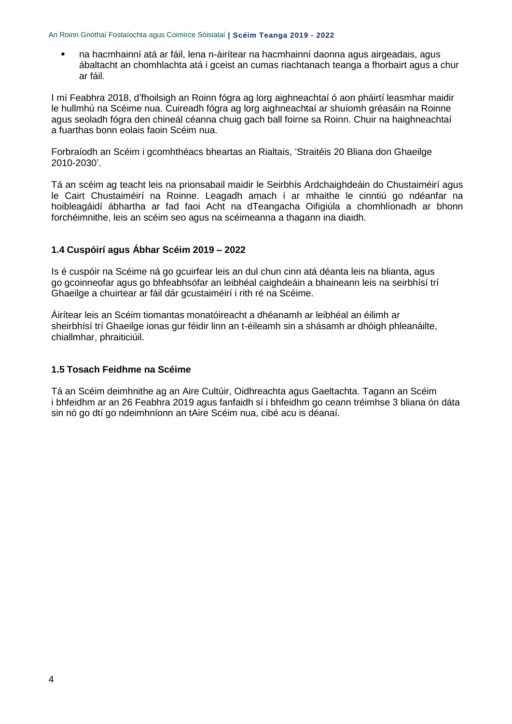na hacmhainní atá ar fáil, lena n-áirítear na hacmhainní daonna agus airgeadais, agus ábaltacht an chomhlachta atá i gceist an cumas riachtanach teanga a fhorbairt agus a chur ar fáil.

I mí Feabhra 2018, d'fhoilsigh an Roinn fógra ag lorg aighneachtaí ó aon pháirtí leasmhar maidir le hullmhú na Scéime nua. Cuireadh fógra ag lorg aighneachtaí ar shuíomh gréasáin na Roinne agus seoladh fógra den chineál céanna chuig gach ball foirne sa Roinn. Chuir na haighneachtaí a fuarthas bonn eolais faoin Scéim nua.

Forbraíodh an Scéim i gcomhthéacs bheartas an Rialtais, 'Straitéis 20 Bliana don Ghaeilge 2010-2030'.

Tá an scéim ag teacht leis na prionsabail maidir le Seirbhís Ardchaighdeáin do Chustaiméirí agus le Cairt Chustaiméirí na Roinne. Leagadh amach í ar mhaithe le cinntiú go ndéanfar na hoibleagáidí ábhartha ar fad faoi Acht na dTeangacha Oifigiúla a chomhlíonadh ar bhonn forchéimnithe, leis an scéim seo agus na scéimeanna a thagann ina diaidh.

#### **1.4 Cuspóirí agus Ábhar Scéim 2019 – 2022**

Is é cuspóir na Scéime ná go gcuirfear leis an dul chun cinn atá déanta leis na blianta, agus go gcoinneofar agus go bhfeabhsófar an leibhéal caighdeáin a bhaineann leis na seirbhísí trí Ghaeilge a chuirtear ar fáil dár gcustaiméirí i rith ré na Scéime.

Áirítear leis an Scéim tiomantas monatóireacht a dhéanamh ar leibhéal an éilimh ar sheirbhísí trí Ghaeilge ionas gur féidir linn an t-éileamh sin a shásamh ar dhóigh phleanáilte, chiallmhar, phraiticiúil.

#### **1.5 Tosach Feidhme na Scéime**

Tá an Scéim deimhnithe ag an Aire Cultúir, Oidhreachta agus Gaeltachta. Tagann an Scéim i bhfeidhm ar an 26 Feabhra 2019 agus fanfaidh sí i bhfeidhm go ceann tréimhse 3 bliana ón dáta sin nó go dtí go ndeimhníonn an tAire Scéim nua, cibé acu is déanaí.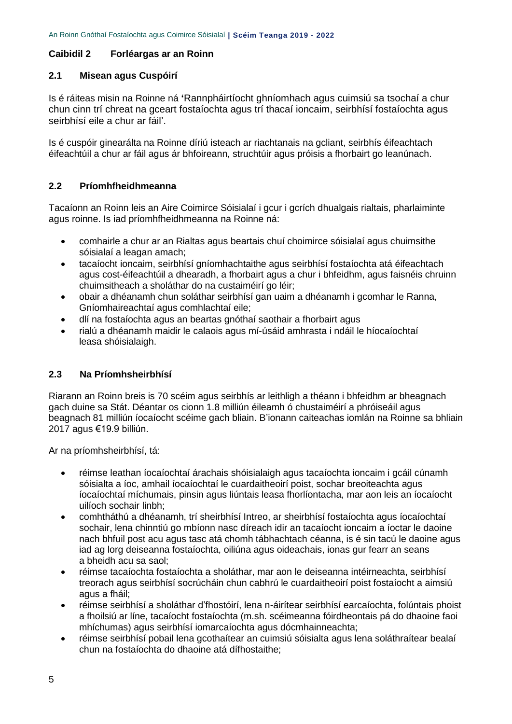#### <span id="page-4-0"></span>**Caibidil 2 Forléargas ar an Roinn**

#### **2.1 Misean agus Cuspóirí**

Is é ráiteas misin na Roinne ná **'**Rannpháirtíocht ghníomhach agus cuimsiú sa tsochaí a chur chun cinn trí chreat na gceart fostaíochta agus trí thacaí ioncaim, seirbhísí fostaíochta agus seirbhísí eile a chur ar fáil'.

Is é cuspóir ginearálta na Roinne díriú isteach ar riachtanais na gcliant, seirbhís éifeachtach éifeachtúil a chur ar fáil agus ár bhfoireann, struchtúir agus próisis a fhorbairt go leanúnach.

#### **2.2 Príomhfheidhmeanna**

Tacaíonn an Roinn leis an Aire Coimirce Sóisialaí i gcur i gcrích dhualgais rialtais, pharlaiminte agus roinne. Is iad príomhfheidhmeanna na Roinne ná:

- comhairle a chur ar an Rialtas agus beartais chuí choimirce sóisialaí agus chuimsithe sóisialaí a leagan amach;
- tacaíocht ioncaim, seirbhísí gníomhachtaithe agus seirbhísí fostaíochta atá éifeachtach agus cost-éifeachtúil a dhearadh, a fhorbairt agus a chur i bhfeidhm, agus faisnéis chruinn chuimsitheach a sholáthar do na custaiméirí go léir;
- obair a dhéanamh chun soláthar seirbhísí gan uaim a dhéanamh i gcomhar le Ranna, Gníomhaireachtaí agus comhlachtaí eile;
- dlí na fostaíochta agus an beartas gnóthaí saothair a fhorbairt agus
- rialú a dhéanamh maidir le calaois agus mí-úsáid amhrasta i ndáil le híocaíochtaí leasa shóisialaigh.

# **2.3 Na Príomhsheirbhísí**

Riarann an Roinn breis is 70 scéim agus seirbhís ar leithligh a théann i bhfeidhm ar bheagnach gach duine sa Stát. Déantar os cionn 1.8 milliún éileamh ó chustaiméirí a phróiseáil agus beagnach 81 milliún íocaíocht scéime gach bliain. B'ionann caiteachas iomlán na Roinne sa bhliain 2017 agus €19.9 billiún.

Ar na príomhsheirbhísí, tá:

- réimse leathan íocaíochtaí árachais shóisialaigh agus tacaíochta ioncaim i gcáil cúnamh sóisialta a íoc, amhail íocaíochtaí le cuardaitheoirí poist, sochar breoiteachta agus íocaíochtaí míchumais, pinsin agus liúntais leasa fhorlíontacha, mar aon leis an íocaíocht uilíoch sochair linbh;
- comhtháthú a dhéanamh, trí sheirbhísí Intreo, ar sheirbhísí fostaíochta agus íocaíochtaí sochair, lena chinntiú go mbíonn nasc díreach idir an tacaíocht ioncaim a íoctar le daoine nach bhfuil post acu agus tasc atá chomh tábhachtach céanna, is é sin tacú le daoine agus iad ag lorg deiseanna fostaíochta, oiliúna agus oideachais, ionas gur fearr an seans a bheidh acu sa saol;
- réimse tacaíochta fostaíochta a sholáthar, mar aon le deiseanna intéirneachta, seirbhísí treorach agus seirbhísí socrúcháin chun cabhrú le cuardaitheoirí poist fostaíocht a aimsiú agus a fháil;
- réimse seirbhísí a sholáthar d'fhostóirí, lena n-áirítear seirbhísí earcaíochta, folúntais phoist a fhoilsiú ar líne, tacaíocht fostaíochta (m.sh. scéimeanna fóirdheontais pá do dhaoine faoi mhíchumas) agus seirbhísí iomarcaíochta agus dócmhainneachta;
- réimse seirbhísí pobail lena gcothaítear an cuimsiú sóisialta agus lena soláthraítear bealaí chun na fostaíochta do dhaoine atá dífhostaithe;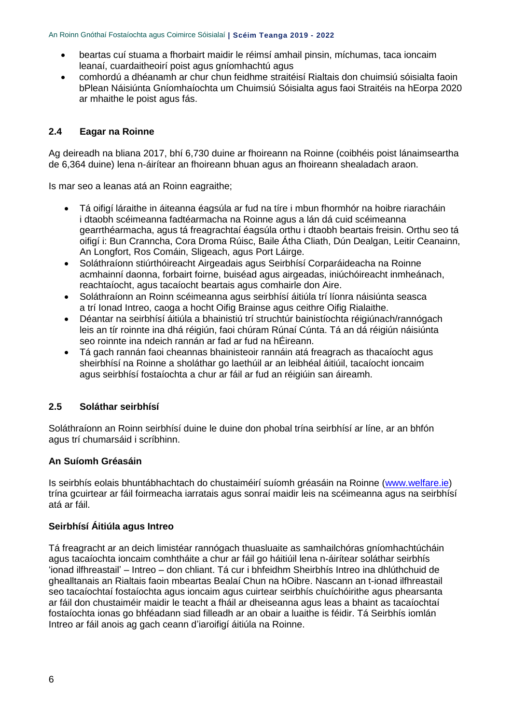- beartas cuí stuama a fhorbairt maidir le réimsí amhail pinsin, míchumas, taca ioncaim leanaí, cuardaitheoirí poist agus gníomhachtú agus
- comhordú a dhéanamh ar chur chun feidhme straitéisí Rialtais don chuimsiú sóisialta faoin bPlean Náisiúnta Gníomhaíochta um Chuimsiú Sóisialta agus faoi Straitéis na hEorpa 2020 ar mhaithe le poist agus fás.

#### **2.4 Eagar na Roinne**

Ag deireadh na bliana 2017, bhí 6,730 duine ar fhoireann na Roinne (coibhéis poist lánaimseartha de 6,364 duine) lena n-áirítear an fhoireann bhuan agus an fhoireann shealadach araon.

Is mar seo a leanas atá an Roinn eagraithe;

- Tá oifigí láraithe in áiteanna éagsúla ar fud na tíre i mbun fhormhór na hoibre riaracháin i dtaobh scéimeanna fadtéarmacha na Roinne agus a lán dá cuid scéimeanna gearrthéarmacha, agus tá freagrachtaí éagsúla orthu i dtaobh beartais freisin. Orthu seo tá oifigí i: Bun Cranncha, Cora Droma Rúisc, Baile Átha Cliath, Dún Dealgan, Leitir Ceanainn, An Longfort, Ros Comáin, Sligeach, agus Port Láirge.
- Soláthraíonn stiúrthóireacht Airgeadais agus Seirbhísí Corparáideacha na Roinne acmhainní daonna, forbairt foirne, buiséad agus airgeadas, iniúchóireacht inmheánach, reachtaíocht, agus tacaíocht beartais agus comhairle don Aire.
- Soláthraíonn an Roinn scéimeanna agus seirbhísí áitiúla trí líonra náisiúnta seasca a trí Ionad Intreo, caoga a hocht Oifig Brainse agus ceithre Oifig Rialaithe.
- Déantar na seirbhísí áitiúla a bhainistiú trí struchtúr bainistíochta réigiúnach/rannógach leis an tír roinnte ina dhá réigiún, faoi chúram Rúnaí Cúnta. Tá an dá réigiún náisiúnta seo roinnte ina ndeich rannán ar fad ar fud na hÉireann.
- Tá gach rannán faoi cheannas bhainisteoir rannáin atá freagrach as thacaíocht agus sheirbhísí na Roinne a sholáthar go laethúil ar an leibhéal áitiúil, tacaíocht ioncaim agus seirbhísí fostaíochta a chur ar fáil ar fud an réigiúin san áireamh.

#### **2.5 Soláthar seirbhísí**

Soláthraíonn an Roinn seirbhísí duine le duine don phobal trína seirbhísí ar líne, ar an bhfón agus trí chumarsáid i scríbhinn.

#### **An Suíomh Gréasáin**

Is seirbhís eolais bhuntábhachtach do chustaiméirí suíomh gréasáin na Roinne [\(www.welfare.ie\)](http://www.welfare.ie/) trína gcuirtear ar fáil foirmeacha iarratais agus sonraí maidir leis na scéimeanna agus na seirbhísí atá ar fáil.

#### **Seirbhísí Áitiúla agus Intreo**

Tá freagracht ar an deich limistéar rannógach thuasluaite as samhailchóras gníomhachtúcháin agus tacaíochta ioncaim comhtháite a chur ar fáil go háitiúil lena n-áirítear soláthar seirbhís 'ionad ilfhreastail' – Intreo – don chliant. Tá cur i bhfeidhm Sheirbhís Intreo ina dhlúthchuid de ghealltanais an Rialtais faoin mbeartas Bealaí Chun na hOibre. Nascann an t-ionad ilfhreastail seo tacaíochtaí fostaíochta agus ioncaim agus cuirtear seirbhís chuíchóirithe agus phearsanta ar fáil don chustaiméir maidir le teacht a fháil ar dheiseanna agus leas a bhaint as tacaíochtaí fostaíochta ionas go bhféadann siad filleadh ar an obair a luaithe is féidir. Tá Seirbhís iomlán Intreo ar fáil anois ag gach ceann d'iaroifigí áitiúla na Roinne.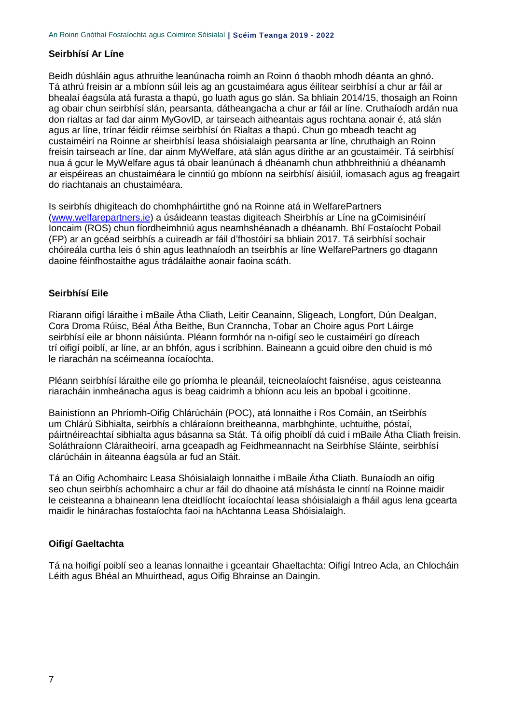#### **Seirbhísí Ar Líne**

Beidh dúshláin agus athruithe leanúnacha roimh an Roinn ó thaobh mhodh déanta an ghnó. Tá athrú freisin ar a mbíonn súil leis ag an gcustaiméara agus éilítear seirbhísí a chur ar fáil ar bhealaí éagsúla atá furasta a thapú, go luath agus go slán. Sa bhliain 2014/15, thosaigh an Roinn ag obair chun seirbhísí slán, pearsanta, dátheangacha a chur ar fáil ar líne. Cruthaíodh ardán nua don rialtas ar fad dar ainm MyGovID, ar tairseach aitheantais agus rochtana aonair é, atá slán agus ar líne, trínar féidir réimse seirbhísí ón Rialtas a thapú. Chun go mbeadh teacht ag custaiméirí na Roinne ar sheirbhísí leasa shóisialaigh pearsanta ar líne, chruthaigh an Roinn freisin tairseach ar líne, dar ainm MyWelfare, atá slán agus dírithe ar an gcustaiméir. Tá seirbhísí nua á gcur le MyWelfare agus tá obair leanúnach á dhéanamh chun athbhreithniú a dhéanamh ar eispéireas an chustaiméara le cinntiú go mbíonn na seirbhísí áisiúil, iomasach agus ag freagairt do riachtanais an chustaiméara.

Is seirbhís dhigiteach do chomhpháirtithe gnó na Roinne atá in WelfarePartners [\(www.welfarepartners.ie\)](http://www.welfarepartners.ie/) a úsáideann teastas digiteach Sheirbhís ar Líne na gCoimisinéirí Ioncaim (ROS) chun fíordheimhniú agus neamhshéanadh a dhéanamh. Bhí Fostaíocht Pobail (FP) ar an gcéad seirbhís a cuireadh ar fáil d'fhostóirí sa bhliain 2017. Tá seirbhísí sochair chóireála curtha leis ó shin agus leathnaíodh an tseirbhís ar líne WelfarePartners go dtagann daoine féinfhostaithe agus trádálaithe aonair faoina scáth.

#### **Seirbhísí Eile**

Riarann oifigí láraithe i mBaile Átha Cliath, Leitir Ceanainn, Sligeach, Longfort, Dún Dealgan, Cora Droma Rúisc, Béal Átha Beithe, Bun Cranncha, Tobar an Choire agus Port Láirge seirbhísí eile ar bhonn náisiúnta. Pléann formhór na n-oifigí seo le custaiméirí go díreach trí oifigí poiblí, ar líne, ar an bhfón, agus i scríbhinn. Baineann a gcuid oibre den chuid is mó le riarachán na scéimeanna íocaíochta.

Pléann seirbhísí láraithe eile go príomha le pleanáil, teicneolaíocht faisnéise, agus ceisteanna riaracháin inmheánacha agus is beag caidrimh a bhíonn acu leis an bpobal i gcoitinne.

Bainistíonn an Phríomh-Oifig Chlárúcháin (POC), atá lonnaithe i Ros Comáin, an tSeirbhís um Chlárú Sibhialta, seirbhís a chláraíonn breitheanna, marbhghinte, uchtuithe, póstaí, páirtnéireachtaí sibhialta agus básanna sa Stát. Tá oifig phoiblí dá cuid i mBaile Átha Cliath freisin. Soláthraíonn Cláraitheoirí, arna gceapadh ag Feidhmeannacht na Seirbhíse Sláinte, seirbhísí clárúcháin in áiteanna éagsúla ar fud an Stáit.

Tá an Oifig Achomhairc Leasa Shóisialaigh lonnaithe i mBaile Átha Cliath. Bunaíodh an oifig seo chun seirbhís achomhairc a chur ar fáil do dhaoine atá míshásta le cinntí na Roinne maidir le ceisteanna a bhaineann lena dteidlíocht íocaíochtaí leasa shóisialaigh a fháil agus lena gcearta maidir le hinárachas fostaíochta faoi na hAchtanna Leasa Shóisialaigh.

#### **Oifigí Gaeltachta**

Tá na hoifigí poiblí seo a leanas lonnaithe i gceantair Ghaeltachta: Oifigí Intreo Acla, an Chlocháin Léith agus Bhéal an Mhuirthead, agus Oifig Bhrainse an Daingin.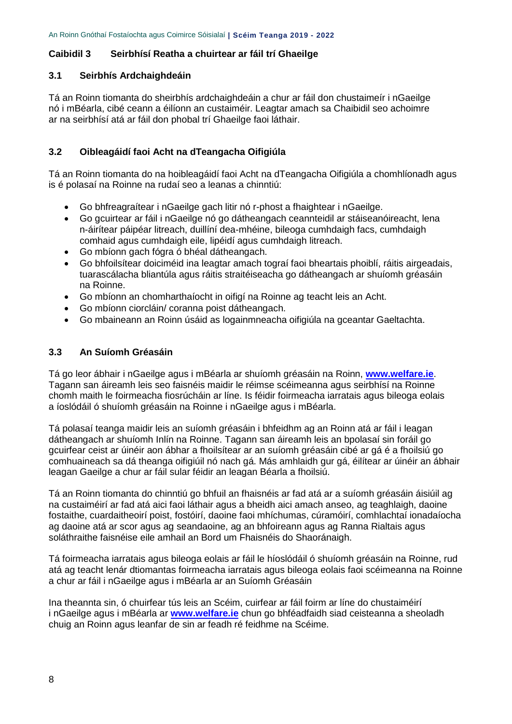#### <span id="page-7-0"></span>**Caibidil 3 Seirbhísí Reatha a chuirtear ar fáil trí Ghaeilge**

#### **3.1 Seirbhís Ardchaighdeáin**

Tá an Roinn tiomanta do sheirbhís ardchaighdeáin a chur ar fáil don chustaimeír i nGaeilge nó i mBéarla, cibé ceann a éilíonn an custaiméir. Leagtar amach sa Chaibidil seo achoimre ar na seirbhísí atá ar fáil don phobal trí Ghaeilge faoi láthair.

#### **3.2 Oibleagáidí faoi Acht na dTeangacha Oifigiúla**

Tá an Roinn tiomanta do na hoibleagáidí faoi Acht na dTeangacha Oifigiúla a chomhlíonadh agus is é polasaí na Roinne na rudaí seo a leanas a chinntiú:

- Go bhfreagraítear i nGaeilge gach litir nó r-phost a fhaightear i nGaeilge.
- Go gcuirtear ar fáil i nGaeilge nó go dátheangach ceannteidil ar stáiseanóireacht, lena n-áirítear páipéar litreach, duillíní dea-mhéine, bileoga cumhdaigh facs, cumhdaigh comhaid agus cumhdaigh eile, lipéidí agus cumhdaigh litreach.
- Go mbíonn gach fógra ó bhéal dátheangach.
- Go bhfoilsítear doiciméid ina leagtar amach tograí faoi bheartais phoiblí, ráitis airgeadais, tuarascálacha bliantúla agus ráitis straitéiseacha go dátheangach ar shuíomh gréasáin na Roinne.
- Go mbíonn an chomharthaíocht in oifigí na Roinne ag teacht leis an Acht.
- Go mbíonn ciorcláin/ coranna poist dátheangach.
- Go mbaineann an Roinn úsáid as logainmneacha oifigiúla na gceantar Gaeltachta.

#### **3.3 An Suíomh Gréasáin**

Tá go leor ábhair i nGaeilge agus i mBéarla ar shuíomh gréasáin na Roinn, **[www.welfare.ie](http://www.welfare.ie/)**. Tagann san áireamh leis seo faisnéis maidir le réimse scéimeanna agus seirbhísí na Roinne chomh maith le foirmeacha fiosrúcháin ar líne. Is féidir foirmeacha iarratais agus bileoga eolais a íoslódáil ó shuíomh gréasáin na Roinne i nGaeilge agus i mBéarla.

Tá polasaí teanga maidir leis an suíomh gréasáin i bhfeidhm ag an Roinn atá ar fáil i leagan dátheangach ar shuíomh Inlín na Roinne. Tagann san áireamh leis an bpolasaí sin foráil go gcuirfear ceist ar úinéir aon ábhar a fhoilsítear ar an suíomh gréasáin cibé ar gá é a fhoilsiú go comhuaineach sa dá theanga oifigiúil nó nach gá. Más amhlaidh gur gá, éilítear ar úinéir an ábhair leagan Gaeilge a chur ar fáil sular féidir an leagan Béarla a fhoilsiú.

Tá an Roinn tiomanta do chinntiú go bhfuil an fhaisnéis ar fad atá ar a suíomh gréasáin áisiúil ag na custaiméirí ar fad atá aici faoi láthair agus a bheidh aici amach anseo, ag teaghlaigh, daoine fostaithe, cuardaitheoirí poist, fostóirí, daoine faoi mhíchumas, cúramóirí, comhlachtaí ionadaíocha ag daoine atá ar scor agus ag seandaoine, ag an bhfoireann agus ag Ranna Rialtais agus soláthraithe faisnéise eile amhail an Bord um Fhaisnéis do Shaoránaigh.

Tá foirmeacha iarratais agus bileoga eolais ar fáil le híoslódáil ó shuíomh gréasáin na Roinne, rud atá ag teacht lenár dtiomantas foirmeacha iarratais agus bileoga eolais faoi scéimeanna na Roinne a chur ar fáil i nGaeilge agus i mBéarla ar an Suíomh Gréasáin

Ina theannta sin, ó chuirfear tús leis an Scéim, cuirfear ar fáil foirm ar líne do chustaiméirí i nGaeilge agus i mBéarla ar **[www.welfare.ie](http://www.welfare.ie/)** chun go bhféadfaidh siad ceisteanna a sheoladh chuig an Roinn agus leanfar de sin ar feadh ré feidhme na Scéime.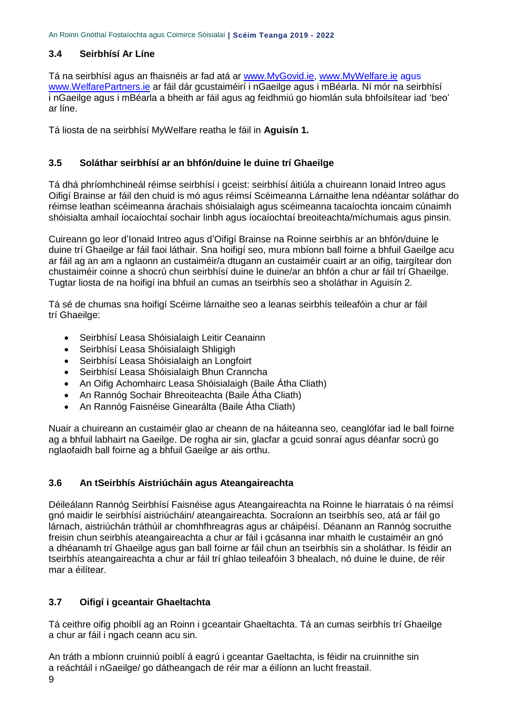# **3.4 Seirbhísí Ar Líne**

Tá na seirbhísí agus an fhaisnéis ar fad atá ar [www.MyGovid.ie,](http://www.mygovid.ie/) [www.MyWelfare.ie](http://www.mywelfare.ie/) agus [www.WelfarePartners.ie](http://www.welfarepartners.ie/) ar fáil dár gcustaiméirí i nGaeilge agus i mBéarla. Ní mór na seirbhísí i nGaeilge agus i mBéarla a bheith ar fáil agus ag feidhmiú go hiomlán sula bhfoilsítear iad 'beo' ar líne.

Tá liosta de na seirbhísí MyWelfare reatha le fáil in **Aguisín 1.**

#### **3.5 Soláthar seirbhísí ar an bhfón/duine le duine trí Ghaeilge**

Tá dhá phríomhchineál réimse seirbhísí i gceist: seirbhísí áitiúla a chuireann Ionaid Intreo agus Oifigí Brainse ar fáil den chuid is mó agus réimsí Scéimeanna Lárnaithe lena ndéantar soláthar do réimse leathan scéimeanna árachais shóisialaigh agus scéimeanna tacaíochta ioncaim cúnaimh shóisialta amhail íocaíochtaí sochair linbh agus íocaíochtaí breoiteachta/míchumais agus pinsin.

Cuireann go leor d'Ionaid Intreo agus d'Oifigí Brainse na Roinne seirbhís ar an bhfón/duine le duine trí Ghaeilge ar fáil faoi láthair. Sna hoifigí seo, mura mbíonn ball foirne a bhfuil Gaeilge acu ar fáil ag an am a nglaonn an custaiméir/a dtugann an custaiméir cuairt ar an oifig, tairgítear don chustaiméir coinne a shocrú chun seirbhísí duine le duine/ar an bhfón a chur ar fáil trí Ghaeilge. Tugtar liosta de na hoifigí ina bhfuil an cumas an tseirbhís seo a sholáthar in Aguisín 2.

Tá sé de chumas sna hoifigí Scéime lárnaithe seo a leanas seirbhís teileafóin a chur ar fáil trí Ghaeilge:

- Seirbhísí Leasa Shóisialaigh Leitir Ceanainn
- Seirbhísí Leasa Shóisialaigh Shligigh
- Seirbhísí Leasa Shóisialaigh an Longfoirt
- Seirbhísí Leasa Shóisialaigh Bhun Cranncha
- An Oifig Achomhairc Leasa Shóisialaigh (Baile Átha Cliath)
- An Rannóg Sochair Bhreoiteachta (Baile Átha Cliath)
- An Rannóg Faisnéise Ginearálta (Baile Átha Cliath)

Nuair a chuireann an custaiméir glao ar cheann de na háiteanna seo, ceanglófar iad le ball foirne ag a bhfuil labhairt na Gaeilge. De rogha air sin, glacfar a gcuid sonraí agus déanfar socrú go nglaofaidh ball foirne ag a bhfuil Gaeilge ar ais orthu.

#### **3.6 An tSeirbhís Aistriúcháin agus Ateangaireachta**

Déileálann Rannóg Seirbhísí Faisnéise agus Ateangaireachta na Roinne le hiarratais ó na réimsí gnó maidir le seirbhísí aistriúcháin/ ateangaireachta. Socraíonn an tseirbhís seo, atá ar fáil go lárnach, aistriúchán tráthúil ar chomhfhreagras agus ar cháipéisí. Déanann an Rannóg socruithe freisin chun seirbhís ateangaireachta a chur ar fáil i gcásanna inar mhaith le custaiméir an gnó a dhéanamh trí Ghaeilge agus gan ball foirne ar fáil chun an tseirbhís sin a sholáthar. Is féidir an tseirbhís ateangaireachta a chur ar fáil trí ghlao teileafóin 3 bhealach, nó duine le duine, de réir mar a éilítear.

#### **3.7 Oifigí i gceantair Ghaeltachta**

Tá ceithre oifig phoiblí ag an Roinn i gceantair Ghaeltachta. Tá an cumas seirbhís trí Ghaeilge a chur ar fáil i ngach ceann acu sin.

An tráth a mbíonn cruinniú poiblí á eagrú i gceantar Gaeltachta, is féidir na cruinnithe sin a reáchtáil i nGaeilge/ go dátheangach de réir mar a éilíonn an lucht freastail.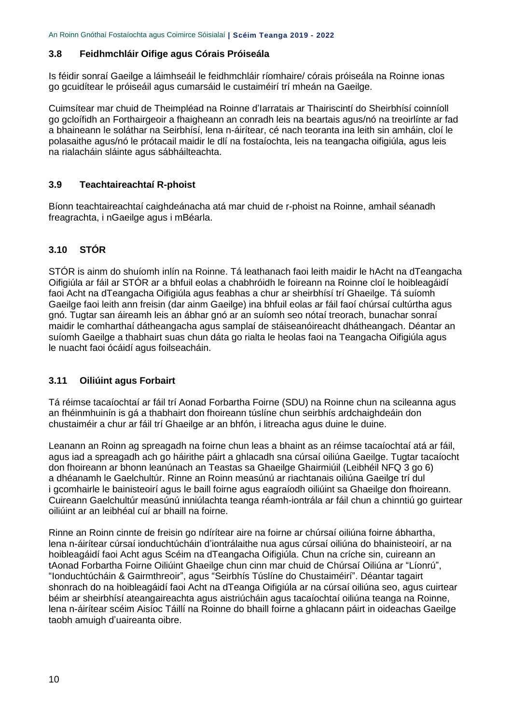#### **3.8 Feidhmchláir Oifige agus Córais Próiseála**

Is féidir sonraí Gaeilge a láimhseáil le feidhmchláir ríomhaire/ córais próiseála na Roinne ionas go gcuidítear le próiseáil agus cumarsáid le custaiméirí trí mheán na Gaeilge.

Cuimsítear mar chuid de Theimpléad na Roinne d'Iarratais ar Thairiscintí do Sheirbhísí coinníoll go gcloífidh an Forthairgeoir a fhaigheann an conradh leis na beartais agus/nó na treoirlínte ar fad a bhaineann le soláthar na Seirbhísí, lena n-áirítear, cé nach teoranta ina leith sin amháin, cloí le polasaithe agus/nó le prótacail maidir le dlí na fostaíochta, leis na teangacha oifigiúla, agus leis na rialacháin sláinte agus sábháilteachta.

#### **3.9 Teachtaireachtaí R-phoist**

Bíonn teachtaireachtaí caighdeánacha atá mar chuid de r-phoist na Roinne, amhail séanadh freagrachta, i nGaeilge agus i mBéarla.

# **3.10 STÓR**

STÓR is ainm do shuíomh inlín na Roinne. Tá leathanach faoi leith maidir le hAcht na dTeangacha Oifigiúla ar fáil ar STÓR ar a bhfuil eolas a chabhróidh le foireann na Roinne cloí le hoibleagáidí faoi Acht na dTeangacha Oifigiúla agus feabhas a chur ar sheirbhísí trí Ghaeilge. Tá suíomh Gaeilge faoi leith ann freisin (dar ainm Gaeilge) ina bhfuil eolas ar fáil faoí chúrsaí cultúrtha agus gnó. Tugtar san áireamh leis an ábhar gnó ar an suíomh seo nótaí treorach, bunachar sonraí maidir le comharthaí dátheangacha agus samplaí de stáiseanóireacht dhátheangach. Déantar an suíomh Gaeilge a thabhairt suas chun dáta go rialta le heolas faoi na Teangacha Oifigiúla agus le nuacht faoi ócáidí agus foilseacháin.

#### **3.11 Oiliúint agus Forbairt**

Tá réimse tacaíochtaí ar fáil trí Aonad Forbartha Foirne (SDU) na Roinne chun na scileanna agus an fhéinmhuinín is gá a thabhairt don fhoireann túslíne chun seirbhís ardchaighdeáin don chustaiméir a chur ar fáil trí Ghaeilge ar an bhfón, i litreacha agus duine le duine.

Leanann an Roinn ag spreagadh na foirne chun leas a bhaint as an réimse tacaíochtaí atá ar fáil, agus iad a spreagadh ach go háirithe páirt a ghlacadh sna cúrsaí oiliúna Gaeilge. Tugtar tacaíocht don fhoireann ar bhonn leanúnach an Teastas sa Ghaeilge Ghairmiúil (Leibhéil NFQ 3 go 6) a dhéanamh le Gaelchultúr. Rinne an Roinn measúnú ar riachtanais oiliúna Gaeilge trí dul i gcomhairle le bainisteoirí agus le baill foirne agus eagraíodh oiliúint sa Ghaeilge don fhoireann. Cuireann Gaelchultúr measúnú inniúlachta teanga réamh-iontrála ar fáil chun a chinntiú go guirtear oiliúint ar an leibhéal cuí ar bhaill na foirne.

Rinne an Roinn cinnte de freisin go ndírítear aire na foirne ar chúrsaí oiliúna foirne ábhartha, lena n-áirítear cúrsaí ionduchtúcháin d'iontrálaithe nua agus cúrsaí oiliúna do bhainisteoirí, ar na hoibleagáidí faoi Acht agus Scéim na dTeangacha Oifigiúla. Chun na críche sin, cuireann an tAonad Forbartha Foirne Oiliúint Ghaeilge chun cinn mar chuid de Chúrsaí Oiliúna ar "Líonrú", "Ionduchtúcháin & Gairmthreoir", agus "Seirbhís Túslíne do Chustaiméirí". Déantar tagairt shonrach do na hoibleagáidí faoi Acht na dTeanga Oifigiúla ar na cúrsaí oiliúna seo, agus cuirtear béim ar sheirbhísí ateangaireachta agus aistriúcháin agus tacaíochtaí oiliúna teanga na Roinne, lena n-áirítear scéim Aisíoc Táillí na Roinne do bhaill foirne a ghlacann páirt in oideachas Gaeilge taobh amuigh d'uaireanta oibre.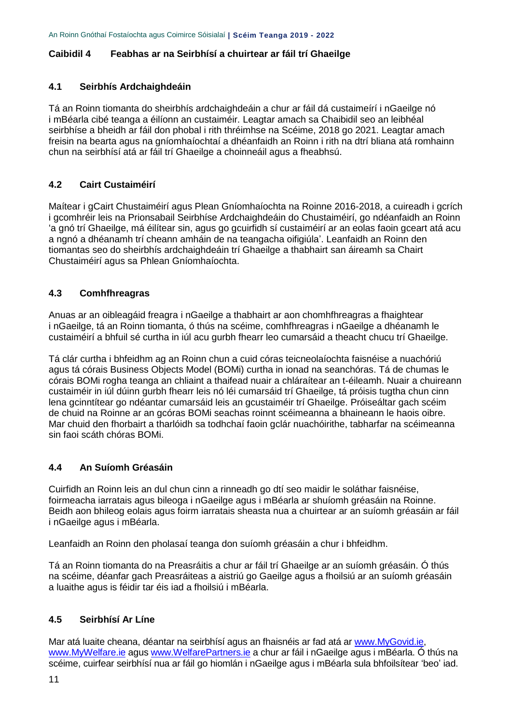#### <span id="page-10-0"></span>**Caibidil 4 Feabhas ar na Seirbhísí a chuirtear ar fáil trí Ghaeilge**

#### **4.1 Seirbhís Ardchaighdeáin**

Tá an Roinn tiomanta do sheirbhís ardchaighdeáin a chur ar fáil dá custaimeírí i nGaeilge nó i mBéarla cibé teanga a éilíonn an custaiméir. Leagtar amach sa Chaibidil seo an leibhéal seirbhíse a bheidh ar fáil don phobal i rith thréimhse na Scéime, 2018 go 2021. Leagtar amach freisin na bearta agus na gníomhaíochtaí a dhéanfaidh an Roinn i rith na dtrí bliana atá romhainn chun na seirbhísí atá ar fáil trí Ghaeilge a choinneáil agus a fheabhsú.

# **4.2 Cairt Custaiméirí**

Maítear i gCairt Chustaiméirí agus Plean Gníomhaíochta na Roinne 2016-2018, a cuireadh i gcrích i gcomhréir leis na Prionsabail Seirbhíse Ardchaighdeáin do Chustaiméirí, go ndéanfaidh an Roinn 'a gnó trí Ghaeilge, má éilítear sin, agus go gcuirfidh sí custaiméirí ar an eolas faoin gceart atá acu a ngnó a dhéanamh trí cheann amháin de na teangacha oifigiúla'. Leanfaidh an Roinn den tiomantas seo do sheirbhís ardchaighdeáin trí Ghaeilge a thabhairt san áireamh sa Chairt Chustaiméirí agus sa Phlean Gníomhaíochta.

#### **4.3 Comhfhreagras**

Anuas ar an oibleagáid freagra i nGaeilge a thabhairt ar aon chomhfhreagras a fhaightear i nGaeilge, tá an Roinn tiomanta, ó thús na scéime, comhfhreagras i nGaeilge a dhéanamh le custaiméirí a bhfuil sé curtha in iúl acu gurbh fhearr leo cumarsáid a theacht chucu trí Ghaeilge.

Tá clár curtha i bhfeidhm ag an Roinn chun a cuid córas teicneolaíochta faisnéise a nuachóriú agus tá córais Business Objects Model (BOMi) curtha in ionad na seanchóras. Tá de chumas le córais BOMi rogha teanga an chliaint a thaifead nuair a chláraítear an t-éileamh. Nuair a chuireann custaiméir in iúl dúinn gurbh fhearr leis nó léi cumarsáid trí Ghaeilge, tá próisis tugtha chun cinn lena gcinntítear go ndéantar cumarsáid leis an gcustaiméir trí Ghaeilge. Próiseáltar gach scéim de chuid na Roinne ar an gcóras BOMi seachas roinnt scéimeanna a bhaineann le haois oibre. Mar chuid den fhorbairt a tharlóidh sa todhchaí faoin gclár nuachóirithe, tabharfar na scéimeanna sin faoi scáth chóras BOMi.

#### **4.4 An Suíomh Gréasáin**

Cuirfidh an Roinn leis an dul chun cinn a rinneadh go dtí seo maidir le soláthar faisnéise, foirmeacha iarratais agus bileoga i nGaeilge agus i mBéarla ar shuíomh gréasáin na Roinne. Beidh aon bhileog eolais agus foirm iarratais sheasta nua a chuirtear ar an suíomh gréasáin ar fáil i nGaeilge agus i mBéarla.

Leanfaidh an Roinn den pholasaí teanga don suíomh gréasáin a chur i bhfeidhm.

Tá an Roinn tiomanta do na Preasráitis a chur ar fáil trí Ghaeilge ar an suíomh gréasáin. Ó thús na scéime, déanfar gach Preasráiteas a aistriú go Gaeilge agus a fhoilsiú ar an suíomh gréasáin a luaithe agus is féidir tar éis iad a fhoilsiú i mBéarla.

# **4.5 Seirbhísí Ar Líne**

Mar atá luaite cheana, déantar na seirbhísí agus an fhaisnéis ar fad atá ar [www.MyGovid.ie,](http://www.mygovid.ie/) [www.MyWelfare.ie](http://www.mywelfare.ie/) agus [www.WelfarePartners.ie](http://www.welfarepartners.ie/) a chur ar fáil i nGaeilge agus i mBéarla. Ó thús na scéime, cuirfear seirbhísí nua ar fáil go hiomlán i nGaeilge agus i mBéarla sula bhfoilsítear 'beo' iad.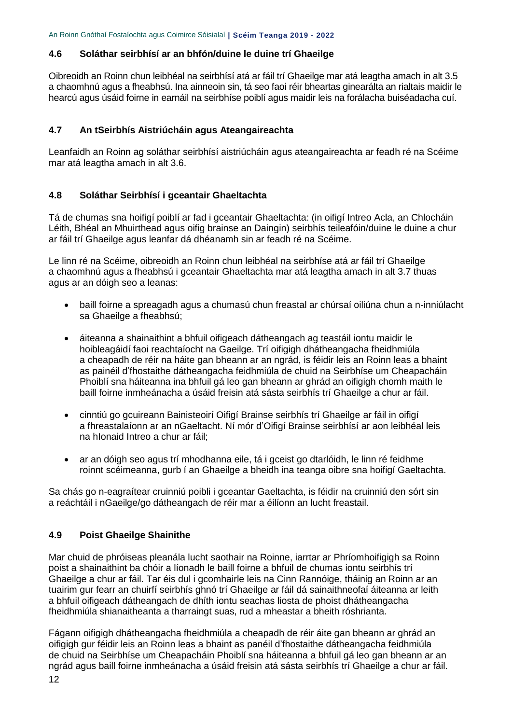#### **4.6 Soláthar seirbhísí ar an bhfón/duine le duine trí Ghaeilge**

Oibreoidh an Roinn chun leibhéal na seirbhísí atá ar fáil trí Ghaeilge mar atá leagtha amach in alt 3.5 a chaomhnú agus a fheabhsú. Ina ainneoin sin, tá seo faoi réir bheartas ginearálta an rialtais maidir le hearcú agus úsáid foirne in earnáil na seirbhíse poiblí agus maidir leis na forálacha buiséadacha cuí.

#### **4.7 An tSeirbhís Aistriúcháin agus Ateangaireachta**

Leanfaidh an Roinn ag soláthar seirbhísí aistriúcháin agus ateangaireachta ar feadh ré na Scéime mar atá leagtha amach in alt 3.6.

#### **4.8 Soláthar Seirbhísí i gceantair Ghaeltachta**

Tá de chumas sna hoifigí poiblí ar fad i gceantair Ghaeltachta: (in oifigí Intreo Acla, an Chlocháin Léith, Bhéal an Mhuirthead agus oifig brainse an Daingin) seirbhís teileafóin/duine le duine a chur ar fáil trí Ghaeilge agus leanfar dá dhéanamh sin ar feadh ré na Scéime.

Le linn ré na Scéime, oibreoidh an Roinn chun leibhéal na seirbhíse atá ar fáil trí Ghaeilge a chaomhnú agus a fheabhsú i gceantair Ghaeltachta mar atá leagtha amach in alt 3.7 thuas agus ar an dóigh seo a leanas:

- baill foirne a spreagadh agus a chumasú chun freastal ar chúrsaí oiliúna chun a n-inniúlacht sa Ghaeilge a fheabhsú;
- áiteanna a shainaithint a bhfuil oifigeach dátheangach ag teastáil iontu maidir le hoibleagáidí faoi reachtaíocht na Gaeilge. Trí oifigigh dhátheangacha fheidhmiúla a cheapadh de réir na háite gan bheann ar an ngrád, is féidir leis an Roinn leas a bhaint as painéil d'fhostaithe dátheangacha feidhmiúla de chuid na Seirbhíse um Cheapacháin Phoiblí sna háiteanna ina bhfuil gá leo gan bheann ar ghrád an oifigigh chomh maith le baill foirne inmheánacha a úsáid freisin atá sásta seirbhís trí Ghaeilge a chur ar fáil.
- cinntiú go gcuireann Bainisteoirí Oifigí Brainse seirbhís trí Ghaeilge ar fáil in oifigí a fhreastalaíonn ar an nGaeltacht. Ní mór d'Oifigí Brainse seirbhísí ar aon leibhéal leis na hIonaid Intreo a chur ar fáil;
- ar an dóigh seo agus trí mhodhanna eile, tá i gceist go dtarlóidh, le linn ré feidhme roinnt scéimeanna, gurb í an Ghaeilge a bheidh ina teanga oibre sna hoifigí Gaeltachta.

Sa chás go n-eagraítear cruinniú poibli i gceantar Gaeltachta, is féidir na cruinniú den sórt sin a reáchtáil i nGaeilge/go dátheangach de réir mar a éilíonn an lucht freastail.

#### **4.9 Poist Ghaeilge Shainithe**

Mar chuid de phróiseas pleanála lucht saothair na Roinne, iarrtar ar Phríomhoifigigh sa Roinn poist a shainaithint ba chóir a líonadh le baill foirne a bhfuil de chumas iontu seirbhís trí Ghaeilge a chur ar fáil. Tar éis dul i gcomhairle leis na Cinn Rannóige, tháinig an Roinn ar an tuairim gur fearr an chuirfí seirbhís ghnó trí Ghaeilge ar fáil dá sainaithneofaí áiteanna ar leith a bhfuil oifigeach dátheangach de dhíth iontu seachas liosta de phoist dhátheangacha fheidhmiúla shianaitheanta a tharraingt suas, rud a mheastar a bheith róshrianta.

Fágann oifigigh dhátheangacha fheidhmiúla a cheapadh de réir áite gan bheann ar ghrád an oifigigh gur féidir leis an Roinn leas a bhaint as panéil d'fhostaithe dátheangacha feidhmiúla de chuid na Seirbhíse um Cheapacháin Phoiblí sna háiteanna a bhfuil gá leo gan bheann ar an ngrád agus baill foirne inmheánacha a úsáid freisin atá sásta seirbhís trí Ghaeilge a chur ar fáil.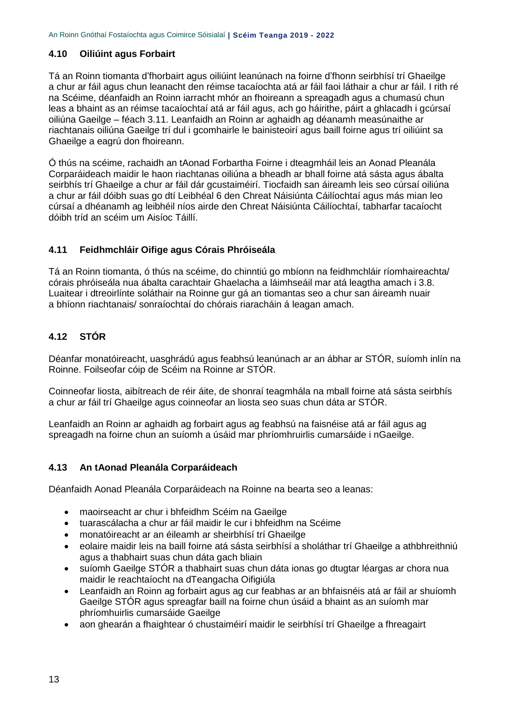#### **4.10 Oiliúint agus Forbairt**

Tá an Roinn tiomanta d'fhorbairt agus oiliúint leanúnach na foirne d'fhonn seirbhísí trí Ghaeilge a chur ar fáil agus chun leanacht den réimse tacaíochta atá ar fáil faoi láthair a chur ar fáil. I rith ré na Scéime, déanfaidh an Roinn iarracht mhór an fhoireann a spreagadh agus a chumasú chun leas a bhaint as an réimse tacaíochtaí atá ar fáil agus, ach go háirithe, páirt a ghlacadh i gcúrsaí oiliúna Gaeilge – féach 3.11. Leanfaidh an Roinn ar aghaidh ag déanamh measúnaithe ar riachtanais oiliúna Gaeilge trí dul i gcomhairle le bainisteoirí agus baill foirne agus trí oiliúint sa Ghaeilge a eagrú don fhoireann.

Ó thús na scéime, rachaidh an tAonad Forbartha Foirne i dteagmháil leis an Aonad Pleanála Corparáideach maidir le haon riachtanas oiliúna a bheadh ar bhall foirne atá sásta agus ábalta seirbhís trí Ghaeilge a chur ar fáil dár gcustaiméirí. Tiocfaidh san áireamh leis seo cúrsaí oiliúna a chur ar fáil dóibh suas go dtí Leibhéal 6 den Chreat Náisiúnta Cáilíochtaí agus más mian leo cúrsaí a dhéanamh ag leibhéil níos airde den Chreat Náisiúnta Cáilíochtaí, tabharfar tacaíocht dóibh tríd an scéim um Aisíoc Táillí.

# **4.11 Feidhmchláir Oifige agus Córais Phróiseála**

Tá an Roinn tiomanta, ó thús na scéime, do chinntiú go mbíonn na feidhmchláir ríomhaireachta/ córais phróiseála nua ábalta carachtair Ghaelacha a láimhseáil mar atá leagtha amach i 3.8. Luaitear i dtreoirlínte soláthair na Roinne gur gá an tiomantas seo a chur san áireamh nuair a bhíonn riachtanais/ sonraíochtaí do chórais riaracháin á leagan amach.

# **4.12 STÓR**

Déanfar monatóireacht, uasghrádú agus feabhsú leanúnach ar an ábhar ar STÓR, suíomh inlín na Roinne. Foilseofar cóip de Scéim na Roinne ar STÓR.

Coinneofar liosta, aibítreach de réir áite, de shonraí teagmhála na mball foirne atá sásta seirbhís a chur ar fáil trí Ghaeilge agus coinneofar an liosta seo suas chun dáta ar STÓR.

Leanfaidh an Roinn ar aghaidh ag forbairt agus ag feabhsú na faisnéise atá ar fáil agus ag spreagadh na foirne chun an suíomh a úsáid mar phríomhruirlis cumarsáide i nGaeilge.

#### **4.13 An tAonad Pleanála Corparáideach**

Déanfaidh Aonad Pleanála Corparáideach na Roinne na bearta seo a leanas:

- maoirseacht ar chur i bhfeidhm Scéim na Gaeilge
- tuarascálacha a chur ar fáil maidir le cur i bhfeidhm na Scéime
- monatóireacht ar an éileamh ar sheirbhísí trí Ghaeilge
- eolaire maidir leis na baill foirne atá sásta seirbhísí a sholáthar trí Ghaeilge a athbhreithniú agus a thabhairt suas chun dáta gach bliain
- suíomh Gaeilge STÓR a thabhairt suas chun dáta ionas go dtugtar léargas ar chora nua maidir le reachtaíocht na dTeangacha Oifigiúla
- Leanfaidh an Roinn ag forbairt agus ag cur feabhas ar an bhfaisnéis atá ar fáil ar shuíomh Gaeilge STÓR agus spreagfar baill na foirne chun úsáid a bhaint as an suíomh mar phríomhuirlis cumarsáide Gaeilge
- aon ghearán a fhaightear ó chustaiméirí maidir le seirbhísí trí Ghaeilge a fhreagairt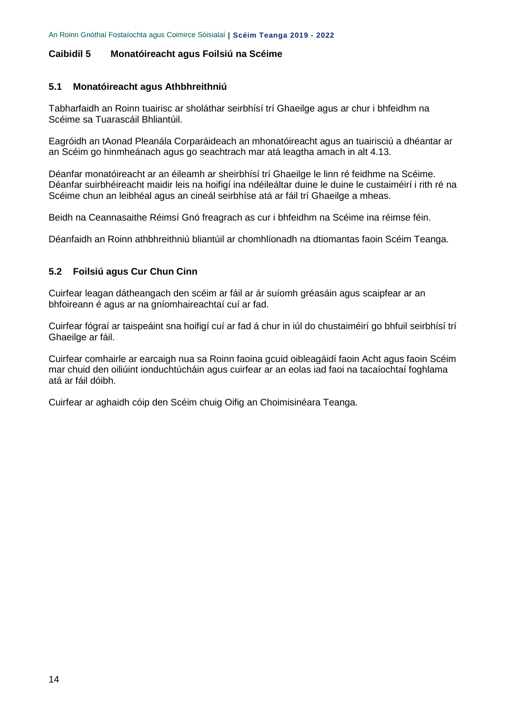#### <span id="page-13-0"></span>**Caibidil 5 Monatóireacht agus Foilsiú na Scéime**

#### **5.1 Monatóireacht agus Athbhreithniú**

Tabharfaidh an Roinn tuairisc ar sholáthar seirbhísí trí Ghaeilge agus ar chur i bhfeidhm na Scéime sa Tuarascáil Bhliantúil.

Eagróidh an tAonad Pleanála Corparáideach an mhonatóireacht agus an tuairisciú a dhéantar ar an Scéim go hinmheánach agus go seachtrach mar atá leagtha amach in alt 4.13.

Déanfar monatóireacht ar an éileamh ar sheirbhísí trí Ghaeilge le linn ré feidhme na Scéime. Déanfar suirbhéireacht maidir leis na hoifigí ina ndéileáltar duine le duine le custaiméirí i rith ré na Scéime chun an leibhéal agus an cineál seirbhíse atá ar fáil trí Ghaeilge a mheas.

Beidh na Ceannasaithe Réimsí Gnó freagrach as cur i bhfeidhm na Scéime ina réimse féin.

Déanfaidh an Roinn athbhreithniú bliantúil ar chomhlíonadh na dtiomantas faoin Scéim Teanga.

#### **5.2 Foilsiú agus Cur Chun Cinn**

Cuirfear leagan dátheangach den scéim ar fáil ar ár suíomh gréasáin agus scaipfear ar an bhfoireann é agus ar na gníomhaireachtaí cuí ar fad.

Cuirfear fógraí ar taispeáint sna hoifigí cuí ar fad á chur in iúl do chustaiméirí go bhfuil seirbhísí trí Ghaeilge ar fáil.

Cuirfear comhairle ar earcaigh nua sa Roinn faoina gcuid oibleagáidí faoin Acht agus faoin Scéim mar chuid den oiliúint ionduchtúcháin agus cuirfear ar an eolas iad faoi na tacaíochtaí foghlama atá ar fáil dóibh.

Cuirfear ar aghaidh cóip den Scéim chuig Oifig an Choimisinéara Teanga.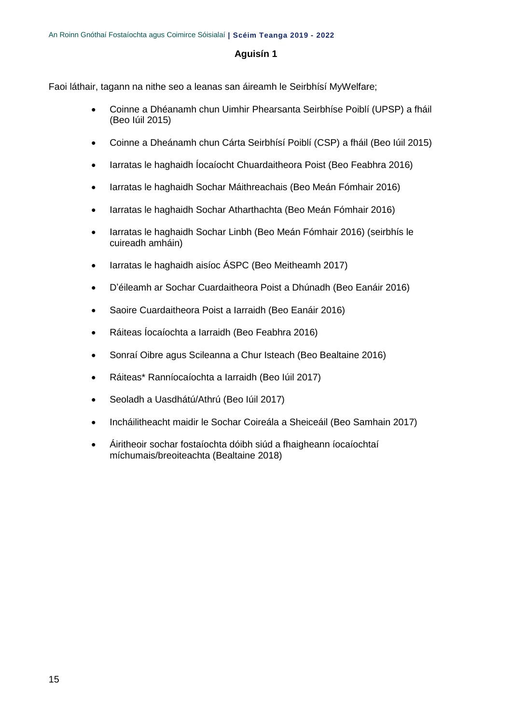#### **Aguisín 1**

Faoi láthair, tagann na nithe seo a leanas san áireamh le Seirbhísí MyWelfare;

- Coinne a Dhéanamh chun Uimhir Phearsanta Seirbhíse Poiblí (UPSP) a fháil (Beo Iúil 2015)
- Coinne a Dheánamh chun Cárta Seirbhísí Poiblí (CSP) a fháil (Beo Iúil 2015)
- Iarratas le haghaidh Íocaíocht Chuardaitheora Poist (Beo Feabhra 2016)
- Iarratas le haghaidh Sochar Máithreachais (Beo Meán Fómhair 2016)
- Iarratas le haghaidh Sochar Atharthachta (Beo Meán Fómhair 2016)
- Iarratas le haghaidh Sochar Linbh (Beo Meán Fómhair 2016) (seirbhís le cuireadh amháin)
- larratas le haghaidh aisíoc ÁSPC (Beo Meitheamh 2017)
- D'éileamh ar Sochar Cuardaitheora Poist a Dhúnadh (Beo Eanáir 2016)
- Saoire Cuardaitheora Poist a Iarraidh (Beo Eanáir 2016)
- Ráiteas Íocaíochta a Iarraidh (Beo Feabhra 2016)
- Sonraí Oibre agus Scileanna a Chur Isteach (Beo Bealtaine 2016)
- Ráiteas\* Ranníocaíochta a Iarraidh (Beo Iúil 2017)
- Seoladh a Uasdhátú/Athrú (Beo Iúil 2017)
- Incháilitheacht maidir le Sochar Coireála a Sheiceáil (Beo Samhain 2017)
- Áiritheoir sochar fostaíochta dóibh siúd a fhaigheann íocaíochtaí míchumais/breoiteachta (Bealtaine 2018)